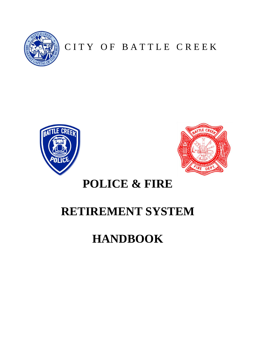

CITY OF BATTLE CREEK





# **POLICE & FIRE**

# **RETIREMENT SYSTEM**

# **HANDBOOK**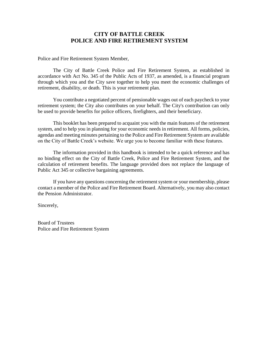# **CITY OF BATTLE CREEK POLICE AND FIRE RETIREMENT SYSTEM**

Police and Fire Retirement System Member,

The City of Battle Creek Police and Fire Retirement System, as established in accordance with Act No. 345 of the Public Acts of 1937, as amended, is a financial program through which you and the City save together to help you meet the economic challenges of retirement, disability, or death. This is your retirement plan.

You contribute a negotiated percent of pensionable wages out of each paycheck to your retirement system; the City also contributes on your behalf. The City's contribution can only be used to provide benefits for police officers, firefighters, and their beneficiary.

This booklet has been prepared to acquaint you with the main features of the retirement system, and to help you in planning for your economic needs in retirement. All forms, policies, agendas and meeting minutes pertaining to the Police and Fire Retirement System are available on the City of Battle Creek's website. We urge you to become familiar with these features.

The information provided in this handbook is intended to be a quick reference and has no binding effect on the City of Battle Creek, Police and Fire Retirement System, and the calculation of retirement benefits. The language provided does not replace the language of Public Act 345 or collective bargaining agreements.

If you have any questions concerning the retirement system or your membership, please contact a member of the Police and Fire Retirement Board. Alternatively, you may also contact the Pension Administrator.

Sincerely,

Board of Trustees Police and Fire Retirement System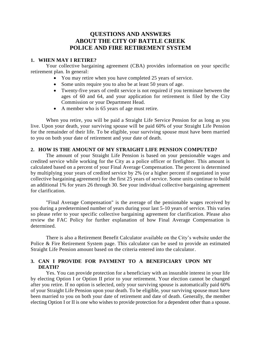# **QUESTIONS AND ANSWERS ABOUT THE CITY OF BATTLE CREEK POLICE AND FIRE RETIREMENT SYSTEM**

#### **1. WHEN MAY I RETIRE?**

Your collective bargaining agreement (CBA) provides information on your specific retirement plan. In general:

- You may retire when you have completed 25 years of service.
- Some units require you to also be at least 50 years of age.
- Twenty-five years of credit service is not required if you terminate between the ages of 60 and 64, and your application for retirement is filed by the City Commission or your Department Head.
- A member who is 65 years of age must retire.

When you retire, you will be paid a Straight Life Service Pension for as long as you live. Upon your death, your surviving spouse will be paid 60% of your Straight Life Pension for the remainder of their life. To be eligible, your surviving spouse must have been married to you on both your date of retirement and your date of death.

#### **2. HOW IS THE AMOUNT OF MY STRAIGHT LIFE PENSION COMPUTED?**

The amount of your Straight Life Pension is based on your pensionable wages and credited service while working for the City as a police officer or firefighter. This amount is calculated based on a percent of your Final Average Compensation. The percent is determined by multiplying your years of credited service by 2% (or a higher percent if negotiated in your collective bargaining agreement) for the first 25 years of service. Some units continue to build an additional 1% for years 26 through 30. See your individual collective bargaining agreement for clarification.

"Final Average Compensation" is the average of the pensionable wages received by you during a predetermined number of years during your last 5-10 years of service. This varies so please refer to your specific collective bargaining agreement for clarification. Please also review the FAC Policy for further explanation of how Final Average Compensation is determined.

There is also a Retirement Benefit Calculator available on the City's website under the Police & Fire Retirement System page. This calculator can be used to provide an estimated Straight Life Pension amount based on the criteria entered into the calculator.

# **3. CAN I PROVIDE FOR PAYMENT TO A BENEFICIARY UPON MY DEATH?**

Yes. You can provide protection for a beneficiary with an insurable interest in your life by electing Option I or Option II prior to your retirement. Your election cannot be changed after you retire. If no option is selected, only your surviving spouse is automatically paid 60% of your Straight Life Pension upon your death. To be eligible, your surviving spouse must have been married to you on both your date of retirement and date of death. Generally, the member electing Option I or II is one who wishes to provide protection for a dependent other than a spouse.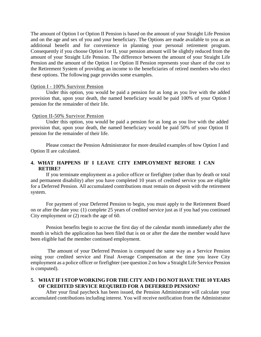The amount of Option I or Option II Pension is based on the amount of your Straight Life Pension and on the age and sex of you and your beneficiary. The Options are made available to you as an additional benefit and for convenience in planning your personal retirement program. Consequently if you choose Option I or II, your pension amount will be slightly reduced from the amount of your Straight Life Pension. The difference between the amount of your Straight Life Pension and the amount of the Option I or Option II Pension represents your share of the cost to the Retirement System of providing an income to the beneficiaries of retired members who elect these options. The following page provides some examples.

#### Option I - 100% Survivor Pension

Under this option, you would be paid a pension for as long as you live with the added provision that, upon your death, the named beneficiary would be paid 100% of your Option I pension for the remainder of their life.

#### Option II-50% Survivor Pension

Under this option, you would be paid a pension for as long as you live with the added provision that, upon your death, the named beneficiary would be paid 50% of your Option II pension for the remainder of their life.

Please contact the Pension Administrator for more detailed examples of how Option I and Option II are calculated.

# **4. WHAT HAPPENS IF I LEAVE CITY EMPLOYMENT BEFORE I CAN RETIRE?**

If you terminate employment as a police officer or firefighter (other than by death or total and permanent disability) after you have completed 10 years of credited service you are eligible for a Deferred Pension. All accumulated contributions must remain on deposit with the retirement system.

For payment of your Deferred Pension to begin, you must apply to the Retirement Board on or after the date you: (1) complete 25 years of credited service just as if you had you continued City employment or (2) reach the age of 60.

Pension benefits begin to accrue the first day of the calendar month immediately after the month in which the application has been filed that is on or after the date the member would have been eligible had the member continued employment.

The amount of your Deferred Pension is computed the same way as a Service Pension using your credited service and Final Average Compensation at the time you leave City employment as a police officer or firefighter (see question 2 on how a Straight Life Service Pension is computed).

#### **5**. **WHAT IF I STOP WORKING FOR THE CITY AND I DO NOT HAVE THE 10 YEARS OF CREDITED SERVICE REQUIRED FOR A DEFERRED PENSION?**

After your final paycheck has been issued, the Pension Administrator will calculate your accumulated contributions including interest. You will receive notification from the Administrator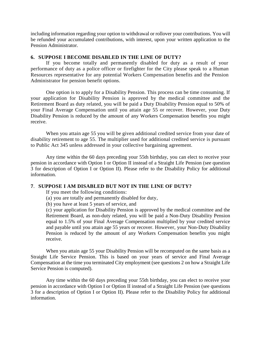including information regarding your option to withdrawal or rollover your contributions. You will be refunded your accumulated contributions, with interest, upon your written application to the Pension Administrator.

#### **6. SUPPOSE I BECOME DISABLED IN THE LINE OF DUTY?**

If you become totally and permanently disabled for duty as a result of your performance of duty as a police officer or firefighter for the City please speak to a Human Resources representative for any potential Workers Compensation benefits and the Pension Administrator for pension benefit options.

One option is to apply for a Disability Pension. This process can be time consuming. If your application for Disability Pension is approved by the medical committee and the Retirement Board as duty related, you will be paid a Duty Disability Pension equal to 50% of your Final Average Compensation until you attain age 55 or recover. However, your Duty Disability Pension is reduced by the amount of any Workers Compensation benefits you might receive.

When you attain age 55 you will be given additional credited service from your date of disability retirement to age 55. The multiplier used for additional credited service is pursuant to Public Act 345 unless addressed in your collective bargaining agreement.

Any time within the 60 days preceding your 55th birthday, you can elect to receive your pension in accordance with Option I or Option II instead of a Straight Life Pension (see question 3 for description of Option I or Option II). Please refer to the Disability Policy for additional information.

#### **7**. **SUPPOSE I AM DISABLED BUT NOT IN THE LINE OF DUTY?**

If you meet the following conditions:

- (a) you are totally and permanently disabled for duty,
- (b) you have at least 5 years of service, and

(c) your application for Disability Pension is approved by the medical committee and the Retirement Board, as non-duty related, you will be paid a Non-Duty Disability Pension equal to 1.5% of your Final Average Compensation multiplied by your credited service and payable until you attain age 55 years or recover. However, your Non-Duty Disability Pension is reduced by the amount of any Workers Compensation benefits you might receive.

When you attain age 55 your Disability Pension will be recomputed on the same basis as a Straight Life Service Pension. This is based on your years of service and Final Average Compensation at the time you terminated City employment (see questions 2 on how a Straight Life Service Pension is computed).

Any time within the 60 days preceding your 55th birthday, you can elect to receive your pension in accordance with Option I or Option II instead of a Straight Life Pension (see questions 3 for a description of Option I or Option II). Please refer to the Disability Policy for additional information.